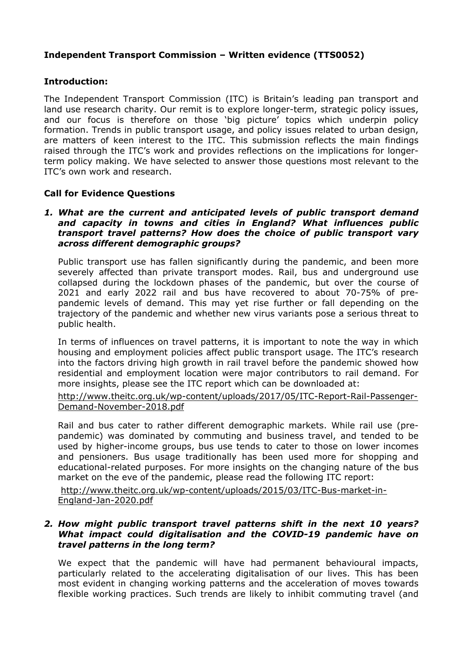# **Independent Transport Commission – Written evidence (TTS0052)**

## **Introduction:**

The Independent Transport Commission (ITC) is Britain's leading pan transport and land use research charity. Our remit is to explore longer-term, strategic policy issues, and our focus is therefore on those 'big picture' topics which underpin policy formation. Trends in public transport usage, and policy issues related to urban design, are matters of keen interest to the ITC. This submission reflects the main findings raised through the ITC's work and provides reflections on the implications for longerterm policy making. We have selected to answer those questions most relevant to the ITC's own work and research.

## **Call for Evidence Questions**

#### *1. What are the current and anticipated levels of public transport demand and capacity in towns and cities in England? What influences public transport travel patterns? How does the choice of public transport vary across different demographic groups?*

Public transport use has fallen significantly during the pandemic, and been more severely affected than private transport modes. Rail, bus and underground use collapsed during the lockdown phases of the pandemic, but over the course of 2021 and early 2022 rail and bus have recovered to about 70-75% of prepandemic levels of demand. This may yet rise further or fall depending on the trajectory of the pandemic and whether new virus variants pose a serious threat to public health.

In terms of influences on travel patterns, it is important to note the way in which housing and employment policies affect public transport usage. The ITC's research into the factors driving high growth in rail travel before the pandemic showed how residential and employment location were major contributors to rail demand. For more insights, please see the ITC report which can be downloaded at:

[http://www.theitc.org.uk/wp-content/uploads/2017/05/ITC-Report-Rail-Passenger-](http://www.theitc.org.uk/wp-content/uploads/2017/05/ITC-Report-Rail-Passenger-Demand-November-2018.pdf)[Demand-November-2018.pdf](http://www.theitc.org.uk/wp-content/uploads/2017/05/ITC-Report-Rail-Passenger-Demand-November-2018.pdf)

Rail and bus cater to rather different demographic markets. While rail use (prepandemic) was dominated by commuting and business travel, and tended to be used by higher-income groups, bus use tends to cater to those on lower incomes and pensioners. Bus usage traditionally has been used more for shopping and educational-related purposes. For more insights on the changing nature of the bus market on the eve of the pandemic, please read the following ITC report:

[http://www.theitc.org.uk/wp-content/uploads/2015/03/ITC-Bus-market-in-](http://www.theitc.org.uk/wp-content/uploads/2015/03/ITC-Bus-market-in-England-Jan-2020.pdf)[England-Jan-2020.pdf](http://www.theitc.org.uk/wp-content/uploads/2015/03/ITC-Bus-market-in-England-Jan-2020.pdf)

#### *2. How might public transport travel patterns shift in the next 10 years? What impact could digitalisation and the COVID-19 pandemic have on travel patterns in the long term?*

We expect that the pandemic will have had permanent behavioural impacts, particularly related to the accelerating digitalisation of our lives. This has been most evident in changing working patterns and the acceleration of moves towards flexible working practices. Such trends are likely to inhibit commuting travel (and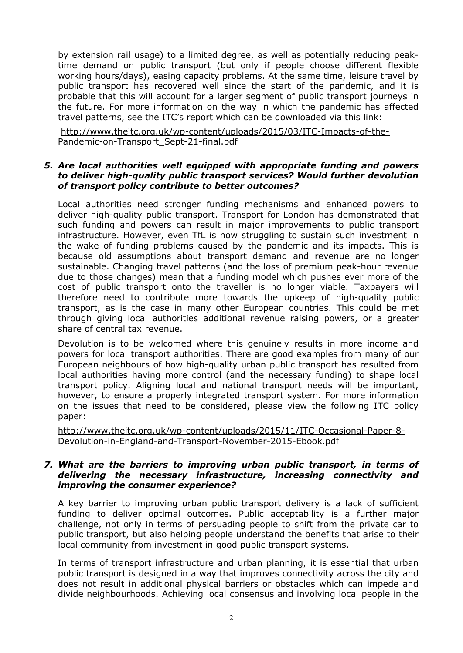by extension rail usage) to a limited degree, as well as potentially reducing peaktime demand on public transport (but only if people choose different flexible working hours/days), easing capacity problems. At the same time, leisure travel by public transport has recovered well since the start of the pandemic, and it is probable that this will account for a larger segment of public transport journeys in the future. For more information on the way in which the pandemic has affected travel patterns, see the ITC's report which can be downloaded via this link:

[http://www.theitc.org.uk/wp-content/uploads/2015/03/ITC-Impacts-of-the-](http://www.theitc.org.uk/wp-content/uploads/2015/03/ITC-Impacts-of-the-Pandemic-on-Transport_Sept-21-final.pdf)[Pandemic-on-Transport\\_Sept-21-final.pdf](http://www.theitc.org.uk/wp-content/uploads/2015/03/ITC-Impacts-of-the-Pandemic-on-Transport_Sept-21-final.pdf)

#### *5. Are local authorities well equipped with appropriate funding and powers to deliver high-quality public transport services? Would further devolution of transport policy contribute to better outcomes?*

Local authorities need stronger funding mechanisms and enhanced powers to deliver high-quality public transport. Transport for London has demonstrated that such funding and powers can result in major improvements to public transport infrastructure. However, even TfL is now struggling to sustain such investment in the wake of funding problems caused by the pandemic and its impacts. This is because old assumptions about transport demand and revenue are no longer sustainable. Changing travel patterns (and the loss of premium peak-hour revenue due to those changes) mean that a funding model which pushes ever more of the cost of public transport onto the traveller is no longer viable. Taxpayers will therefore need to contribute more towards the upkeep of high-quality public transport, as is the case in many other European countries. This could be met through giving local authorities additional revenue raising powers, or a greater share of central tax revenue.

Devolution is to be welcomed where this genuinely results in more income and powers for local transport authorities. There are good examples from many of our European neighbours of how high-quality urban public transport has resulted from local authorities having more control (and the necessary funding) to shape local transport policy. Aligning local and national transport needs will be important, however, to ensure a properly integrated transport system. For more information on the issues that need to be considered, please view the following ITC policy paper:

[http://www.theitc.org.uk/wp-content/uploads/2015/11/ITC-Occasional-Paper-8-](http://www.theitc.org.uk/wp-content/uploads/2015/11/ITC-Occasional-Paper-8-Devolution-in-England-and-Transport-November-2015-Ebook.pdf) [Devolution-in-England-and-Transport-November-2015-Ebook.pdf](http://www.theitc.org.uk/wp-content/uploads/2015/11/ITC-Occasional-Paper-8-Devolution-in-England-and-Transport-November-2015-Ebook.pdf)

### *7. What are the barriers to improving urban public transport, in terms of delivering the necessary infrastructure, increasing connectivity and improving the consumer experience?*

A key barrier to improving urban public transport delivery is a lack of sufficient funding to deliver optimal outcomes. Public acceptability is a further major challenge, not only in terms of persuading people to shift from the private car to public transport, but also helping people understand the benefits that arise to their local community from investment in good public transport systems.

In terms of transport infrastructure and urban planning, it is essential that urban public transport is designed in a way that improves connectivity across the city and does not result in additional physical barriers or obstacles which can impede and divide neighbourhoods. Achieving local consensus and involving local people in the